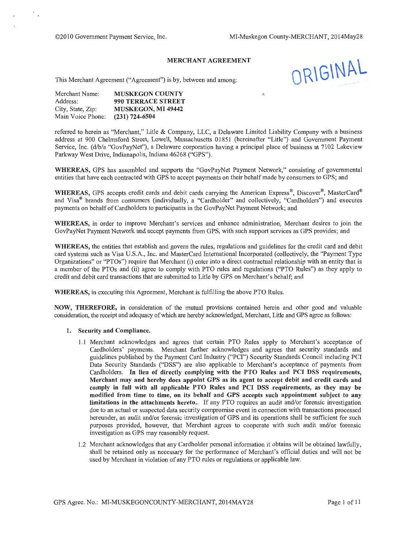$\pmb{\Lambda}$ 

#### MERCHANT AGREEMENT





| Merchant Name:    | <b>MUSKEGON COUNTY</b>    |
|-------------------|---------------------------|
| Address:          | <b>990 TERRACE STREET</b> |
| City, State, Zip: | <b>MUSKEGON, MI 49442</b> |
| Main Voice Phone: | $(231)$ 724-6504          |

referred to herein as "Merchant," Litle & Company, LLC, a Delaware Limited Liability Company with a business address at 900 Chelmsford Street, Lowell, Massachusetts 01851 (hereinafter "Litle") and Government Payment Service, Inc. (d/b/a "GovPayNet"), a Delaware corporation having a principal place of business at 7102 Lakeview Parkway West Drive, Indianapolis, Indiana 46268 ("GPS").

WHEREAS, GPS has assembled and supports the "GovPayNet Payment Network," consisting of governmental entities that have each contracted with GPS to accept payments on their behalf made by consumers to GPS; and

WHEREAS, GPS accepts credit cards and debit cards carrying the American Express®, Discover®, MasterCard® and Visa® brands from consumers (individually, a "Cardholder" and collectively, "Cardholders") and executes payments on behalf of Cardholders to participants in the GovPayNet Payment Network; and

WHEREAS, in order to improve Merchant's services and enhance administration, Merchant desires to join the GovPayNet Payment Network and accept payments from GPS, with such support services as GPS provides; and

WHEREAS, the entities that establish and govern the rules, regulations and guidelines for the credit card and debit card systems such as Visa U.S.A., Inc. and MasterCard International Incorporated (collectively, the "Payment Type Organizations" or "PTOs") require that Merchant (i) enter into a direct contractual relationship with an entity that is a member of the PTOs and (ii) agree to comply with PTO mies and regulations ("PTO Rules") as they apply to credit and debit card transactions that are submitted to Litle by GPS on Merchant's behalf; and

WHEREAS, in executing this Agreement, Merchant is fulfilling the above PTO Rules.

NOW, THEREFORE, in consideration of the mutual provisions contained herein and other good and valuable consideration, the receipt and adequacy of which are hereby acknowledged, Merchant, Litle and GPS agree as follows:

#### 1. Security and Compliance.

- 1.1 Merchant acknowledges and agrees that certain PTO Rules apply to Merchant's acceptance of Cardholders' payments. Merchant further acknowledges and agrees that security standards and guidelines published by the Payment Card Industry ("PCI") Security Standards Council including PCI Data Security Standards ("DSS") are also applicable to Merchant's acceptance of payments from Cardholders. In lieu of directly complying with the PTO Rules and PCI DSS requirements, Merchant may and hereby does appoint GPS as its agent to accept debit and credit cards and comply in full with all applicable PTO Rules and PCI DSS requirements, as they may be modified from time to time, on its behalf and GPS accepts such appointment subject to any limitations in the attachments hereto.. If any PTO requires an audit and/or forensic investigation due to an actual or suspected data security compromise event in connection with transactions processed hereunder, an audit and/or forensic investigation of GPS and its operations shall be sufficient for such purposes provided, however, that Merchant agrees to cooperate with such audit and/or forensic investigation as GPS may reasonably request.
- 1.2 Merchant acknowledges that any Cardholder personal information it obtains will be obtained lawfully, shall be retained only as necessary for the performance of Merchant's official duties and will not be used by Merchant in violation of any PTO mies or regulations or applicable law.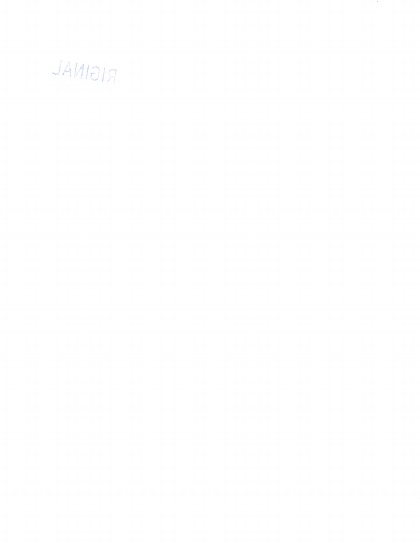# JAMIƏIA

 $\mathcal{F}_{\mathcal{F}}$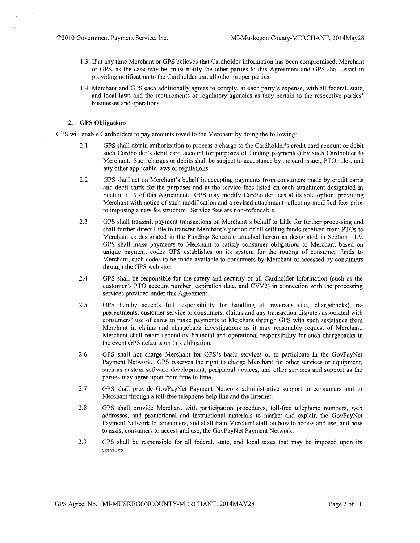- 1.3 If at any time Merchant or GPS believes that Cardholder information has been compromised, Merchant or GPS, as the case may be, must notify the other parties to this Agreement and GPS shall assist in providing notification to the Cardholder and all other proper parties.
- l .4 Merchant and GPS each additionally agrees to comply, at each party's expense, with all federal, state, and local laws and the requirements of regulatory agencies as they pertain to the respective parties' businesses and operations.

#### **2. GPS Obligations**

GPS will enable Cardholders to pay amounts owed to the Merchant by doing the following:

- 2.1 GPS shall obtain authorization to process a charge to the Cardholder's credit card account or debit such Cardholder's debit card account for purposes of funding payment(s) by such Cardholder to Merchant. Such charges or debits shall be subject to acceptance by the card issuer, PTO rules, and any other applicable laws or regulations.
- 2.2 GPS shall act on Merchant's behalf in accepting payments from consumers made by credit cards and debit cards for the purposes and at the service fees listed on each attachment designated in Section 11.9 of this Agreement. GPS may modify Cardholder fees at its sole option, providing Merchant with notice of such modification and a revised attachment reflecting modified fees prior to imposing a new fee structure. Service fees are non-refundable.
- 2.3 GPS shall transmit payment transactions on Merchant's behalf to Litle for further processing and shall further direct Litle to transfer Merchant's portion of all settling funds received from PTOs to Merchant as designated in the Funding Schedule attached hereto as designated in Section 11.9. GPS shall make payments to Merchant to satisfy consumer obligations to Merchant based on unique payment codes GPS establishes on its system for the routing of consumer funds to Merchant, such codes to be made available to consumers by Merchant or accessed by consumers through the GPS web site.
- 2.4 GPS shall be responsible for the safety and security of all Cardholder information (such as the customer's PTO account number, expiration date, and CVV2) in connection with the processing services provided under this Agreement.
- 2.5 GPS hereby accepts full responsibility for handling all reversals (i.e., chargebacks), representments, customer service to consumers, claims and any transaction disputes associated with consumers' use of cards to make payments to Merchant through GPS with such assistance from Merchant in claims and chargeback investigations as it may reasonably request of Merchant. Merchant shall retain secondary financial and operational responsibility for such chargebacks in the event GPS defaults on this obligation.
- 2.6 GPS shall not charge Merchant for GPS's basic services or to participate in the GovPayNet Payment Network. GPS reserves the right to charge Merchant for other services or equipment, such as custom software development, peripheral devices, and other services and support as the parties may agree upon from time to time.
- 2.7 GPS shall provide GovPayNet Payment Network administrative support to consumers and to Merchant through a toll-free telephone help line and the Internet.
- 2.8 GPS shall provide Merchant with participation procedures, toll-free telephone numbers, web addresses, and promotional and instructional materials to market and explain the GovPayNet Payment Network to consumers, and shall train Merchant staff on how to access and use, and how to assist consumers to access and use, the GovPayNet Payment Network.
- 2.9 GPS shall be responsible for all federal, state, and local taxes that may be imposed upon its services.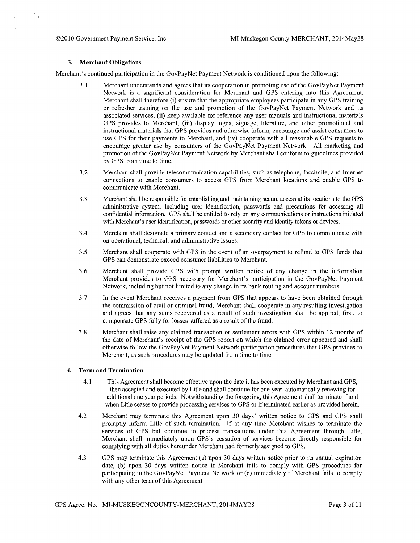#### **3. Merchant Obligations**

Merchant's continued participation in the GovPayNet Payment Network is conditioned upon the following:

- 3.1 Merchant understands and agrees that its cooperation in promoting use of the GovPayNet Payment Network is a significant consideration for Merchant and GPS entering into this Agreement. Merchant shall therefore (i) ensure that the appropriate employees participate in any GPS training or refresher training on the use and promotion of the GovPayNet Payment Network and its associated services, (ii) keep available for reference any user manuals and instructional materials GPS provides to Merchant, (iii) display logos, signage, literature, and other promotional and instructional materials that GPS provides and otherwise inform, encourage and assist consumers to use GPS for their payments to Merchant, and (iv) cooperate with all reasonable GPS requests to encourage greater use by consumers of the GovPayNet Payment Network. All marketing and promotion of the GovPayNet Payment Network by Merchant shall conform to guidelines provided by GPS from time to time.
- 3.2 Merchant shall provide telecommunication capabilities, such as telephone, facsimile, and Internet connections to enable consumers to access GPS from Merchant locations and enable GPS to communicate with Merchant.
- 3.3 Merchant shall be responsible for establishing and maintaining secure access at its locations to the GPS administrative system, including user identification, passwords and precautions for accessing all confidential information. GPS shall be entitled to rely on any communications or instructions initiated with Merchant's user identification, passwords or other security and identity tokens or devices.
- 3.4 Merchant shall designate a primary contact and a secondary contact for GPS to communicate with on operational, technical, and administrative issues.
- 3.5 Merchant shall cooperate with GPS in the event of an overpayment to refund to GPS funds that GPS can demonstrate exceed consumer liabilities to Merchant.
- 3.6 Merchant shall provide GPS with prompt written notice of any change in the information Merchant provides to GPS necessary for Merchant's participation in the GovPayNet Payment Network, including but not limited to any change in its bank routing and account numbers.
- 3.7 In the event Merchant receives a payment from GPS that appears to have been obtained through the commission of civil or criminal fraud, Merchant shall cooperate in any resulting investigation and agrees that any sums recovered as a result of such investigation shall be applied, first, to compensate GPS fully for losses suffered as a result of the fraud.
- 3.8 Merchant shall raise any claimed transaction or settlement errors with GPS within 12 months of the date of Merchant's receipt of the GPS report on which the claimed error appeared and shall otherwise follow the GovPayNet Payment Network participation procedures that GPS provides to Merchant, as such procedures may be updated from time to time.

#### **4. Term and Termination**

- 4.1 This Agreement shall become effective upon the date it has been executed by Merchant and GPS, then accepted and executed by Litle and shall continue for one year, automatically renewing for additional one year periods. Notwithstanding the foregoing, this Agreement shall terminate if and when Litle ceases to provide processing services to GPS or if terminated earlier as provided herein.
- 4.2 Merchant may terminate this Agreement upon 30 days' written notice to GPS and GPS shall promptly inform Litle of such termination. If at any time Merchant wishes to terminate the services of GPS but continue to process transactions under this Agreement through Litle, Merchant shall immediately upon GPS 's cessation of services become directly responsible for complying with all duties hereunder Merchant had formerly assigned to GPS.
- 4.3 GPS may terminate this Agreement (a) upon 30 days written notice prior to its annual expiration date, (b) upon 30 days written notice if Merchant fails to comply with GPS procedures for participating in the GovPayNet Payment Network or (c) immediately if Merchant fails to comply with any other term of this Agreement.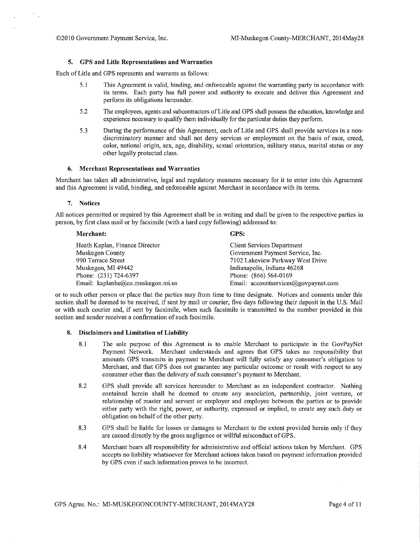#### **5. GPS and Litle Representations and Warranties**

Each of Litle and GPS represents and warrants as follows:

- 5.1 This Agreement is valid, binding, and enforceable against the warranting party in accordance with its terms. Each party has full power and authority to execute and deliver this Agreement and perform its obligations hereunder.
- 5.2 The employees, agents and subcontractors of Litle and GPS shall possess the education, knowledge and experience necessary to qualify them individually for the particular duties they perform.
- 5.3 During the perfonnance of this Agreement, each of Litle and GPS shall provide services in a nondiscriminatory manner and shall not deny services or employment on the basis of race, creed, color, national origin, sex, age, disability, sexual orientation, military status, marital status or any other legally protected class.

#### **6. Merchant Representations and Warranties**

Merchant has taken all administrative, legal and regulatory measures necessary for it to enter into this Agreement and this Agreement is valid, binding, and enforceable against Merchant in accordance with its terms.

#### **7. Notices**

All notices permitted or required by this Agreement shall be in writing and shall be given to the respective parties in person, by first class mail or by facsimile (with a hard copy following) addressed to:

| Merchant:                         | GPS:                                 |
|-----------------------------------|--------------------------------------|
| Heath Kaplan, Finance Director    | <b>Client Services Department</b>    |
| Muskegon County                   | Government Payment Service, Inc.     |
| 990 Terrace Street                | 7102 Lakeview Parkway West Drive     |
| Muskegon, MI 49442                | Indianapolis, Indiana 46268          |
| Phone: (231) 724-6397             | Phone: (866) 564-0169                |
| Email: kaplanhe@co.muskegon.mi.us | Email: accountservices@govpaynet.com |

or to such other person or place that the parties may from time to time designate. Notices and consents under this section shall be deemed to be received, if sent by mail or courier, five days following their deposit in the U.S. Mail or with such courier and, if sent by facsimile, when such facsimile is transmitted to the number provided in this section and sender receives a confirmation of such facsimile.

#### **8. Disclaimers and Limitation of Liability**

- 8.1 The sole purpose of this Agreement is to enable Merchant to participate in the GovPayNet Payment Network. Merchant understands and agrees that GPS takes no responsibility that amounts GPS transmits in payment to Merchant will fully satisfy any consumer's obligation to Merchant, and that GPS does not guarantee any particular outcome or result with respect to any consumer other than the delivery of such consumer's payment to Merchant.
- 8.2 GPS shall provide all services hereunder to Merchant as an independent contractor. Nothing contained herein shall be deemed to create any association, partnership, joint venture, or relationship of master and servant or employer and employee between the parties or to provide either party with the right, power, or authority, expressed or implied, to create any such duty or obligation on behalf of the other party.
- 8.3 GPS shall be liable for losses or damages to Merchant to the extent provided herein only if they are caused directly by the gross negligence or willful misconduct of GPS.
- 8.4 Merchant bears all responsibility for administrative and official actions taken by Merchant. GPS accepts no liability whatsoever for Merchant actions taken based on payment information provided by GPS even if such information proves to be incorrect.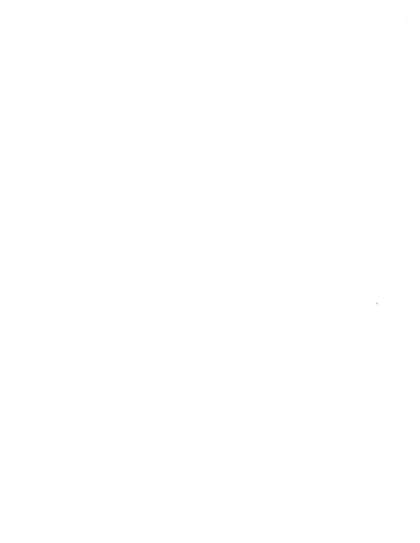$\label{eq:2.1} \mathcal{A} = \mathcal{A} \mathcal{A}$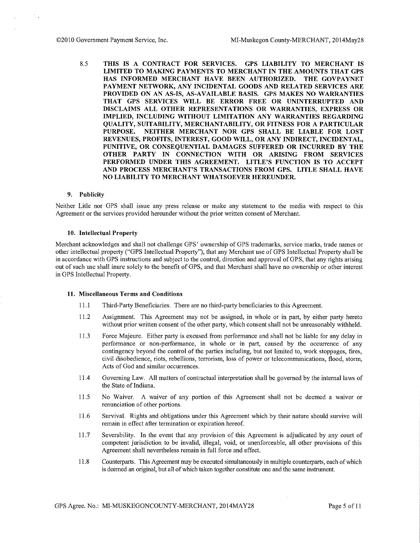8.5 **THIS IS A CONTRACT FOR SERVICES. GPS LIABILITY TO MERCHANT IS LIMITED TO MAKING PAYMENTS TO MERCHANT IN THE AMOUNTS THAT GPS HAS INFORMED MERCHANT HAVE BEEN AUTHORIZED. THE GOVPAYNET PAYMENT NETWORK, ANY INCIDENTAL GOODS AND RELATED SERVICES ARE PROVIDED ON AN AS-IS, AS-AVAILABLE BASIS. GPS MAKES NO WARRANTIES THAT GPS SERVICES WILL BE ERROR FREE OR UNINTERRUPTED AND DISCLAIMS ALL OTHER REPRESENTATIONS OR WARRANTIES, EXPRESS OR IMPLIED, INCLUDING WITHOUT LIMITATION ANY WARRANTIES REGARDING QUALITY, SUITABILITY, MERCHANTABILITY, OR FITNESS FOR A PARTICULAR PURPOSE. NEITHER MERCHANT NOR GPS SHALL BE LIABLE FOR LOST REVENUES, PROFITS, INTEREST, GOOD WILL, OR ANY INDIRECT, INCIDENTAL, PUNITIVE, OR CONSEQUENTIAL DAMAGES SUFFERED OR INCURRED BY THE OTHER PARTY IN CONNECTION WITH OR ARISING FROM SERVICES PERFORMED UNDER THIS AGREEMENT. LITLE'S FUNCTION IS TO ACCEPT**  AND PROCESS MERCHANT'S TRANSACTIONS FROM GPS. LITLE SHALL HAVE **NO LIABILITY TO MERCHANT WHATSOEVER HEREUNDER.** 

#### **9. Publicity**

Neither Litle nor GPS shall issue any press release or make any statement to the media with respect to this Agreement or the services provided hereunder without the prior written consent of Merchant.

#### **10. Intellectual Property**

Merchant acknowledges and shall not challenge GPS' ownership of GPS trademarks, service marks, trade names or other intellectual property ("GPS Intellectual Property"), that any Merchant use ofGPS Intellectual Property shall be in accordance with GPS instructions and subject to the control, direction and approval of GPS, that any rights arising out of such use shall inure solely to the benefit of GPS, and that Merchant shall have no ownership or other interest in GPS Intellectual Property.

#### **11. Miscellaneous Terms and Conditions**

- 11.1 Third-Party Beneficiaries. There are no third-party beneficiaries to this Agreement.
- 11.2 Assignment. This Agreement may not be assigned, in whole or in part, by either party hereto without prior written consent of the other party, which consent shall not be unreasonably withheld.
- 11.3 Force Majeure. Either party is excused from performance and shall not be liable for any delay in performance or non-performance, in whole or in part, caused by the occurrence of any contingency beyond the control of the parties including, but not limited to, work stoppages, fires, civil disobedience, riots, rebellions, terrorism, loss of power or telecommunications, flood, storm, Acts of God and similar occurrences.
- 11.4 Governing Law. All matters of contractual interpretation shall be governed by the internal laws of the State of Indiana.
- 11.5 No Waiver. A waiver of any portion of this Agreement shall not be deemed a waiver or renunciation of other portions.
- 11.6 Survival. Rights and obligations under this Agreement which by their nature should survive will remain in effect after termination or expiration hereof.
- 11.7 Severability. In the event that any provision of this Agreement is adjudicated by any court of competent jurisdiction to be invalid, illegal, void, or unenforceable, all other provisions of this Agreement shall nevertheless remain in full force and effect.
- 11.8 Counterpatis. This Agreement may be executed simultaneously in multiple counterparts, each of which is deemed an original, but all of which taken together constitute one and the same instrument.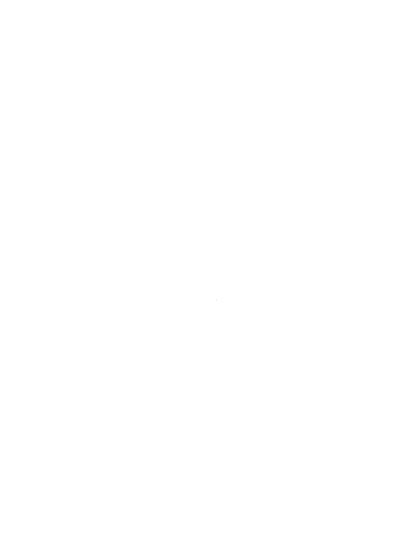$\label{eq:2.1} \frac{1}{2} \sum_{i=1}^n \frac{1}{2} \sum_{j=1}^n \frac{1}{2} \sum_{j=1}^n \frac{1}{2} \sum_{j=1}^n \frac{1}{2} \sum_{j=1}^n \frac{1}{2} \sum_{j=1}^n \frac{1}{2} \sum_{j=1}^n \frac{1}{2} \sum_{j=1}^n \frac{1}{2} \sum_{j=1}^n \frac{1}{2} \sum_{j=1}^n \frac{1}{2} \sum_{j=1}^n \frac{1}{2} \sum_{j=1}^n \frac{1}{2} \sum_{j=1}^n \frac{$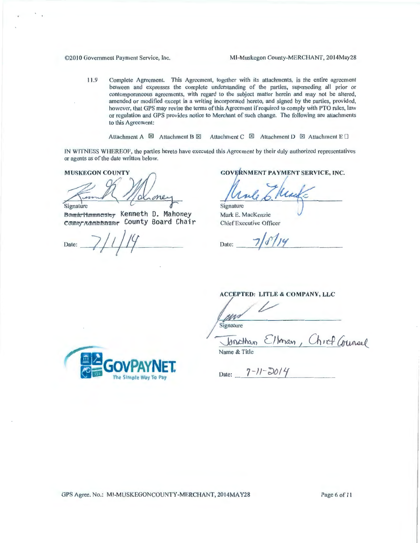#### ©2010 Government Payment Service, Inc.

11.9 Complete Agreement. This Agreement, together with its attachments, is the entire agreement between and expresses the complete understanding of the parties, superseding all prior or contemporaneous agreements, with regard to the subject matter herein and may not be altered, amended or modified except in a writing incorporated hereto, and signed by the parties, provided, however, that GPS may revise the terms of this Agreement if required to comply with PTO rules, law or regulation and GPS provides notice to Merchant of such change. The following are attachments to this Agreement:

Attachment A  $\boxtimes$  Attachment B  $\boxtimes$ Attachment C ⊠ Attachment D ⊠ Attachment E D

IN WITNESS WHEREOF, the parties hereto have executed this Agreement by their duly authorized representatives or agents as of the date written below.

**MUSKEGON COUNTY** 

me Signature

BomicHamnesley Kenneth D. Mahoney County Administrator County Board Chair

Date:

**GOVERNMENT PAYMENT SERVICE, INC.** 

Signature

Mark E. MacKenzie **Chief Executive Officer** 

Date:

**ACCEPTED: LITLE & COMPANY, LLC** 

Who

Signature

Chief Crunsel / Iman brathan Name & Title

Date:  $7 - 11 - 3014$ 

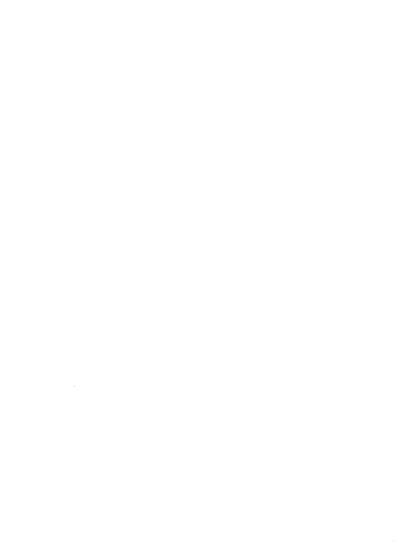$\label{eq:2.1} \frac{1}{\sqrt{2}}\int_{0}^{\infty}\frac{1}{\sqrt{2\pi}}\left(\frac{1}{\sqrt{2\pi}}\right)^{2\alpha} \frac{1}{\sqrt{2\pi}}\int_{0}^{\infty}\frac{1}{\sqrt{2\pi}}\left(\frac{1}{\sqrt{2\pi}}\right)^{\alpha} \frac{1}{\sqrt{2\pi}}\frac{1}{\sqrt{2\pi}}\int_{0}^{\infty}\frac{1}{\sqrt{2\pi}}\frac{1}{\sqrt{2\pi}}\frac{1}{\sqrt{2\pi}}\frac{1}{\sqrt{2\pi}}\frac{1}{\sqrt{2\pi}}\frac{1}{\sqrt{2\pi}}$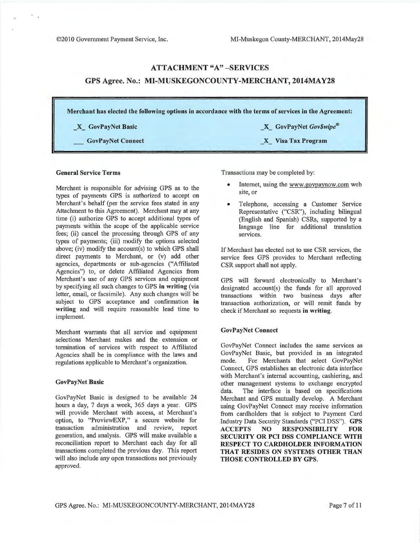# ATTACHMENT "A" -SERVICES

#### GPS Agree. No.: MI-MUSKEGONCOUNTY-MERCHANT, 2014MAY28

| Merchant has elected the following options in accordance with the terms of services in the Agreement: |                        |  |
|-------------------------------------------------------------------------------------------------------|------------------------|--|
| X GovPayNet Basic                                                                                     | X GovPayNet Gov\$wipe® |  |
| <b>GovPayNet Connect</b>                                                                              | X Visa Tax Program     |  |
|                                                                                                       |                        |  |

#### General Service Terms

Merchant is responsible for advising GPS as to the types of payments GPS is authorized to accept on Merchant's behalf (per the service fees stated in any Attachment to this Agreement). Merchant may at any time (i) authorize GPS to accept additional types of payments within the scope of the applicable service fees; (ii) cancel the processing through GPS of any types of payments; (iii) modify the options selected above; (iv) modify the account(s) to which GPS shall direct payments to Merchant, or (v) add other agencies, departments or sub-agencies ("Affiliated Agencies") to, or delete Affiliated Agencies from Merchant's use of any GPS services and equipment by specifying all such changes to GPS in writing (via letter, email, or facsimile). Any such changes will be subject to GPS acceptance and confirmation in writing and will require reasonable lead time to implement.

Merchant warrants that all service and equipment selections Merchant makes and the extension or termination of services with respect to Affiliated Agencies shall be in compliance with the laws and regulations applicable to Merchant's organization.

#### GovPayNet Basic

GovPayNet Basic is designed to be available 24 hours a day, 7 days a week, 365 days a year. GPS will provide Merchant with access, at Merchant's option, to "ProviewEXP," a secure website for transaction administration and review, report generation, and analysis. GPS will make available a reconciliation report to Merchant each day for all transactions completed the previous day. This report will also include any open transactions not previously approved.

Transactions may be completed by:

- Internet, using the www.govpaynow.com web site, or
- Telephone, accessing a Customer Service Representative ("CSR"), including bilingual (English and Spanish) CSRs, supported by a language line for additional translation services.

If Merchant has elected not to use CSR services, the service fees GPS provides to Merchant reflecting CSR support shall not apply.

GPS will forward electronically to Merchant's designated account(s) the funds for all approved transactions within two business days after transaction authorization, or will remit funds by check if Merchant so requests in writing.

#### GovPayNet Connect

GovPayNet Connect includes the same services as GovPayNet Basic, but provided in an integrated mode. For Merchants that select GovPayNet Connect, GPS establishes an electronic data interface with Merchant's internal accounting, cashiering, and other management systems to exchange encrypted data. The interface is based on specifications Merchant and GPS mutually develop. A Merchant using GovPayNet Connect may receive information from cardholders that is subject to Payment Card Industry Data Security Standards ("PCI DSS"). GPS ACCEPTS NO RESPONSIBILITY FOR SECURITY OR PCI DSS COMPLIANCE WITH RESPECT TO CARDHOLDER INFORMATION THAT RESIDES ON SYSTEMS OTHER THAN THOSE CONTROLLED BY GPS.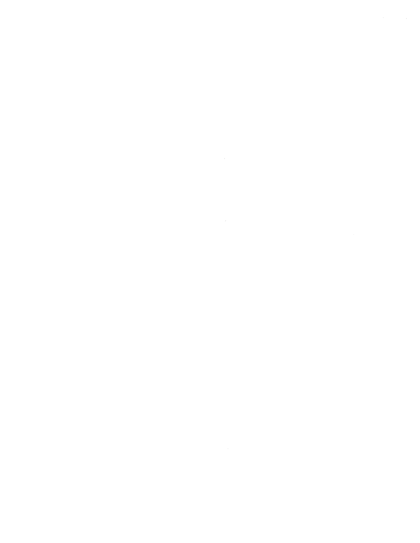$\label{eq:2.1} \frac{1}{\sqrt{2}}\int_{0}^{\infty}\frac{1}{\sqrt{2\pi}}\left(\frac{1}{\sqrt{2\pi}}\right)^{2\alpha} \frac{1}{\sqrt{2\pi}}\int_{0}^{\infty}\frac{1}{\sqrt{2\pi}}\left(\frac{1}{\sqrt{2\pi}}\right)^{\alpha} \frac{1}{\sqrt{2\pi}}\frac{1}{\sqrt{2\pi}}\int_{0}^{\infty}\frac{1}{\sqrt{2\pi}}\frac{1}{\sqrt{2\pi}}\frac{1}{\sqrt{2\pi}}\frac{1}{\sqrt{2\pi}}\frac{1}{\sqrt{2\pi}}\frac{1}{\sqrt{2\pi}}$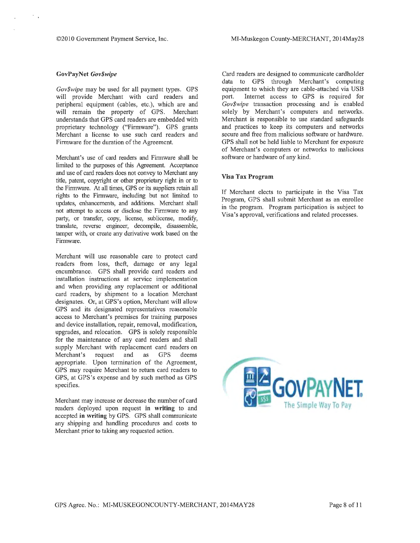#### **GovPayNet** *Gov\$wipe*

*Gov\$wipe* may be used for all payment types. GPS will provide Merchant with card readers and peripheral equipment (cables, etc.), which are and will remain the property of GPS. Merchant understands that GPS card readers are embedded with proprietary technology ("Firmware"). GPS grants Merchant a license to use such card readers and Firmware for the duration of the Agreement.

Merchant's use of card readers and Firmware shall be limited to the purposes of this Agreement. Acceptance and use of card readers does not convey to Merchant any title, patent, copyright or other proprietary right in or to the Firmware. At all times, GPS or its suppliers retain all rights to the Fitmware, including but not limited to updates, enhancements, and additions. Merchant shall not attempt to access or disclose the Fitmware to any party, or transfer, copy, license, sublicense, modify, translate, reverse engineer, decompile, disassemble, tamper with, or create any derivative work based on the Fitmware.

Merchant will use reasonable care to protect card readers from loss, theft, damage or any legal encumbrance. GPS shall provide card readers and installation instructions at service implementation and when providing any replacement or additional card readers, by shipment to a location Merchant designates. Or, at GPS's option, Merchant will allow GPS and its designated representatives reasonable access to Merchant's premises for training purposes and device installation, repair, removal, modification, upgrades, and relocation. GPS is solely responsible for the maintenance of any card readers and shall supply Merchant with replacement card readers on Merchant's request and as GPS deems appropriate. Upon termination of the Agreement, GPS may require Merchant to return card readers to GPS, at GPS 's expense and by such method as GPS specifies.

Merchant may increase or decrease the number of card readers deployed upon request **in writing** to and accepted **in writing** by GPS. GPS shall communicate any shipping and handling procedures and costs to Merchant prior to taking any requested action.

Card readers are designed to communicate cardholder data to GPS through Merchant's computing equipment to which they are cable-attached via USB port. Internet access to GPS is required for *Gov\$wipe* transaction processing and is enabled solely by Merchant's computers and networks. Merchant is responsible to use standard safeguards and practices to keep its computers and networks secure and free from malicious software or hardware. GPS shall not be held liable to Merchant for exposure of Merchant's computers or networks to malicious software or hardware of any kind.

#### **Visa Tax Program**

If Merchant elects to participate in the Visa Tax Program, GPS shall submit Merchant as an emollee in the program. Program participation is subject to Visa's approval, verifications and related processes.

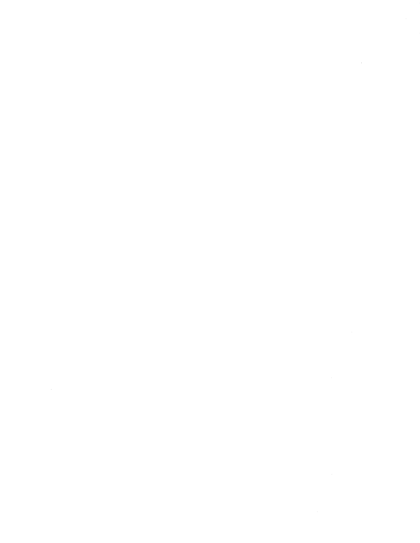$\label{eq:2.1} \frac{1}{\sqrt{2}}\int_{\mathbb{R}^3}\frac{1}{\sqrt{2}}\left(\frac{1}{\sqrt{2}}\right)^2\frac{1}{\sqrt{2}}\left(\frac{1}{\sqrt{2}}\right)^2\frac{1}{\sqrt{2}}\left(\frac{1}{\sqrt{2}}\right)^2.$ 

 $\label{eq:2.1} \frac{1}{2} \sum_{i=1}^n \frac{1}{2} \sum_{j=1}^n \frac{1}{2} \sum_{j=1}^n \frac{1}{2} \sum_{j=1}^n \frac{1}{2} \sum_{j=1}^n \frac{1}{2} \sum_{j=1}^n \frac{1}{2} \sum_{j=1}^n \frac{1}{2} \sum_{j=1}^n \frac{1}{2} \sum_{j=1}^n \frac{1}{2} \sum_{j=1}^n \frac{1}{2} \sum_{j=1}^n \frac{1}{2} \sum_{j=1}^n \frac{1}{2} \sum_{j=1}^n \frac{$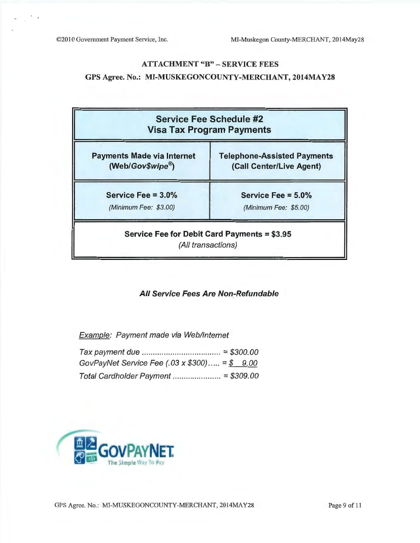©2010 Government Payment Service, Inc. MI-Muskegon County-MERCHANT, 2014May28

# ATTACHMENT **"B"** - SERVICE FEES GPS Agree. No.: MI-MUSKEGONCOUNTY-MERCHANT, 2014MAY28



**All Service Fees Are Non-Refundable** 

Example: Payment made via Web/Internet

| GovPayNet Service Fee (.03 x \$300) = \$ 9.00 |  |  |
|-----------------------------------------------|--|--|
| Total Cardholder Payment  = \$309.00          |  |  |



GPS Agree. No.: MI-MUSKEGONCOUNTY-MERCHANT, 2014MAY28 Page 9 of 11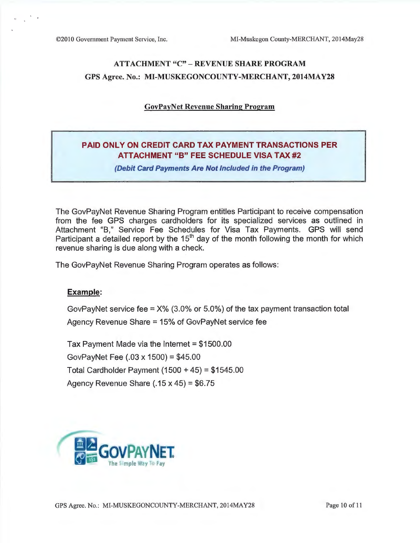# ATTACHMENT "C" - REVENUE SHARE PROGRAM GPS Agree. No.: MI-MUSKEGONCOUNTY-MERCHANT, 2014MA Y28

# GovPayNet Revenue Sharing Program

# **PAID ONLY ON CREDIT CARD TAX PAYMENT TRANSACTIONS PER ATTACHMENT "B" FEE SCHEDULE VISA TAX #2**

**(Debit Card Payments Are Not Included in the Program)** 

The GovPayNet Revenue Sharing Program entitles Participant to receive compensation from the fee GPS charges cardholders for its specialized services as outlined in Attachment "B," Service Fee Schedules for Visa Tax Payments. GPS will send Participant a detailed report by the  $15<sup>th</sup>$  day of the month following the month for which revenue sharing is due along with a check.

The GovPayNet Revenue Sharing Program operates as follows:

## **Example:**

GovPayNet service fee =  $X\%$  (3.0% or 5.0%) of the tax payment transaction total Agency Revenue Share = 15% of GovPayNet service fee

Tax Payment Made via the Internet  $= $1500.00$ GovPayNet Fee (.03 x 1500) = \$45.00 Total Cardholder Payment (1500 + 45) = \$1545.00 Agency Revenue Share  $(.15 \times 45) = $6.75$ 

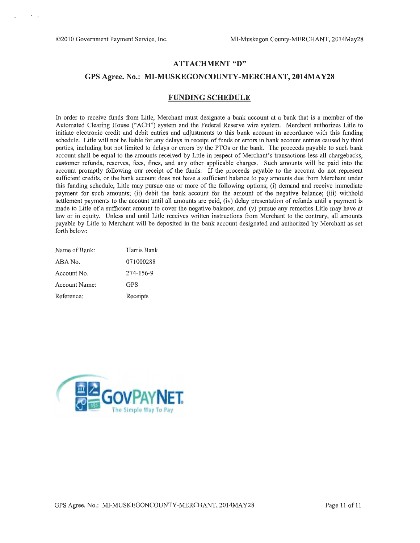### **ATTACHMENT "D"**

#### **GPS Agree. No.: MI-MUSKEGONCOUNTY-MERCHANT, 2014MAY28**

#### **FUNDING SCHEDULE**

In order to receive funds from Litle, Merchant must designate a bank account at a bank that is a member of the Automated Clearing House ("ACH") system and the Federal Reserve wire system. Merchant authorizes Litle to initiate electronic credit and debit entries and adjustments to this bank account in accordance with this funding schedule. Litle will not be liable for any delays in receipt of funds or errors in bank account entries caused by third parties, including but not limited to delays or errors by the PTOs or the bank. The proceeds payable to such bank account shall be equal to the amounts received by Litle in respect of Merchant's transactions less all chargebacks, customer refunds, reserves, fees, fines, and any other applicable charges. Such amounts will be paid into the account promptly following our receipt of the funds. If the proceeds payable to the account do not represent sufficient credits, or the bank account does not have a sufficient balance to pay amounts due from Merchant under this funding schedule, Litle may pursue one or more of the following options; (i) demand and receive immediate payment for such amounts; (ii) debit the bank account for the amount of the negative balance; (iii) withhold settlement payments to the account until all amounts are paid, (iv) delay presentation of refunds until a payment is made to Litle of a sufficient amount to cover the negative balance; and (v) pursue any remedies Litle may have at law or in equity. Unless and until Litle receives written instructions from Merchant to the contrary, all amounts payable by Litle to Merchant will be deposited in the bank account designated and authorized by Merchant as set forth below:

| Name of Bank: | Harris Bank |
|---------------|-------------|
| ABA No.       | 071000288   |
| Account No.   | 274-156-9   |
| Account Name: | GPS         |
| Reference:    | Receipts    |